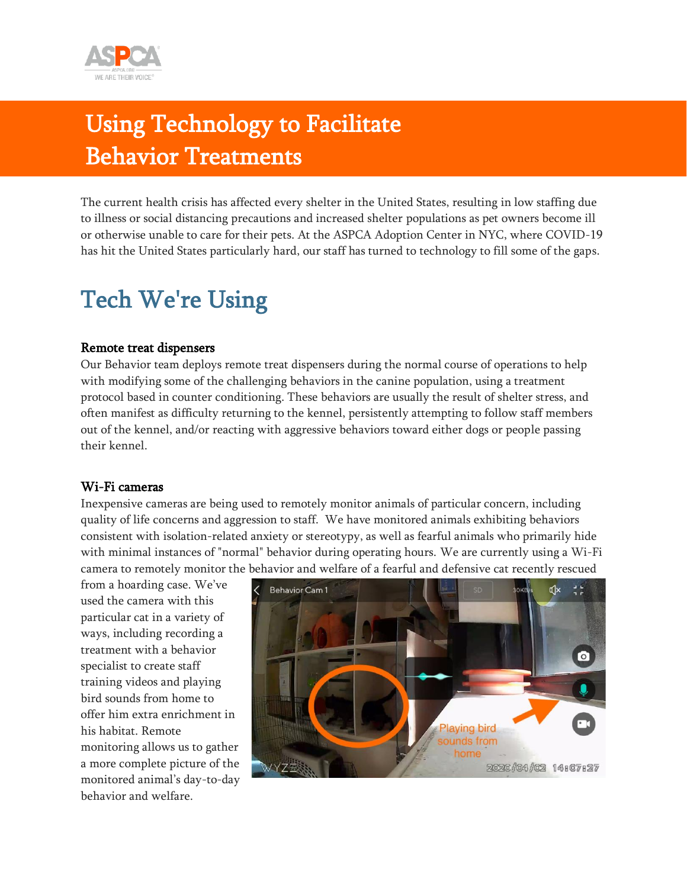

### Using Technology to Facilitate Behavior Treatments

The current health crisis has affected every shelter in the United States, resulting in low staffing due to illness or social distancing precautions and increased shelter populations as pet owners become ill or otherwise unable to care for their pets. At the ASPCA Adoption Center in NYC, where COVID-19 has hit the United States particularly hard, our staff has turned to technology to fill some of the gaps.

### Tech We're Using

#### Remote treat dispensers

Our Behavior team deploys remote treat dispensers during the normal course of operations to help with modifying some of the challenging behaviors in the canine population, using a treatment protocol based in counter conditioning. These behaviors are usually the result of shelter stress, and often manifest as difficulty returning to the kennel, persistently attempting to follow staff members out of the kennel, and/or reacting with aggressive behaviors toward either dogs or people passing their kennel.

#### Wi-Fi cameras

Inexpensive cameras are being used to remotely monitor animals of particular concern, including quality of life concerns and aggression to staff. We have monitored animals exhibiting behaviors consistent with isolation-related anxiety or stereotypy, as well as fearful animals who primarily hide with minimal instances of "normal" behavior during operating hours. We are currently using a Wi-Fi camera to remotely monitor the behavior and welfare of a fearful and defensive cat recently rescued

from a hoarding case. We've used the camera with this particular cat in a variety of ways, including recording a treatment with a behavior specialist to create staff training videos and playing bird sounds from home to offer him extra enrichment in his habitat. Remote monitoring allows us to gather a more complete picture of the monitored animal's day-to-day behavior and welfare.

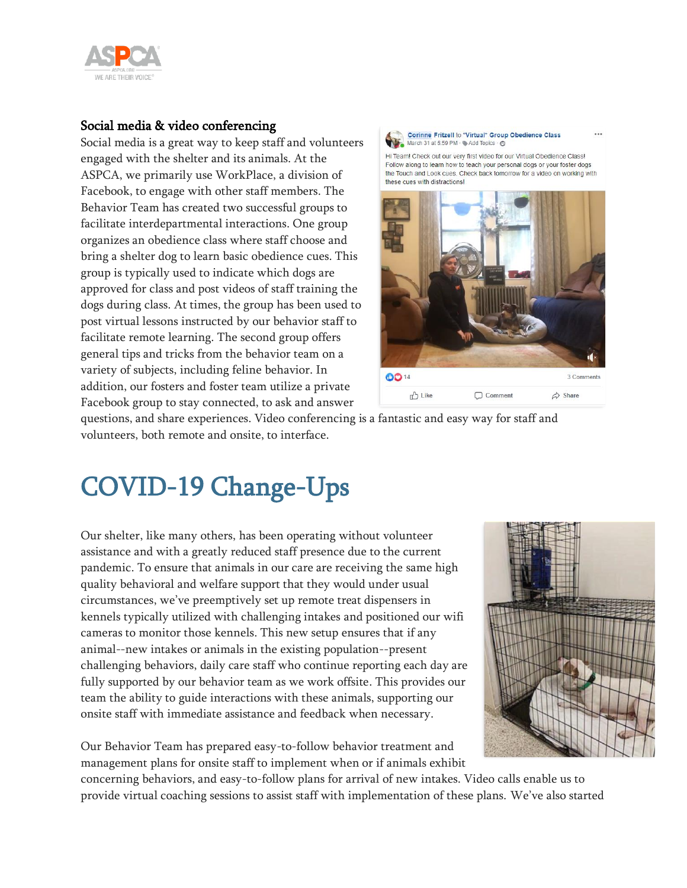

#### Social media & video conferencing

Social media is a great way to keep staff and volunteers engaged with the shelter and its animals. At the ASPCA, we primarily use WorkPlace, a division of Facebook, to engage with other staff members. The Behavior Team has created two successful groups to facilitate interdepartmental interactions. One group organizes an obedience class where staff choose and bring a shelter dog to learn basic obedience cues. This group is typically used to indicate which dogs are approved for class and post videos of staff training the dogs during class. At times, the group has been used to post virtual lessons instructed by our behavior staff to facilitate remote learning. The second group offers general tips and tricks from the behavior team on a variety of subjects, including feline behavior. In addition, our fosters and foster team utilize a private Facebook group to stay connected, to ask and answer



Hi Team! Check out our very first video for our Virtual Obedience Class! Follow along to learn how to teach your personal dogs or your foster dogs the Touch and Look cues. Check back tomorrow for a video on working with these cues with distractions!



questions, and share experiences. Video conferencing is a fantastic and easy way for staff and volunteers, both remote and onsite, to interface.

# COVID-19 Change-Ups

Our shelter, like many others, has been operating without volunteer assistance and with a greatly reduced staff presence due to the current pandemic. To ensure that animals in our care are receiving the same high quality behavioral and welfare support that they would under usual circumstances, we've preemptively set up remote treat dispensers in kennels typically utilized with challenging intakes and positioned our wifi cameras to monitor those kennels. This new setup ensures that if any animal--new intakes or animals in the existing population--present challenging behaviors, daily care staff who continue reporting each day are fully supported by our behavior team as we work offsite. This provides our team the ability to guide interactions with these animals, supporting our onsite staff with immediate assistance and feedback when necessary.



Our Behavior Team has prepared easy-to-follow behavior treatment and management plans for onsite staff to implement when or if animals exhibit

concerning behaviors, and easy-to-follow plans for arrival of new intakes. Video calls enable us to provide virtual coaching sessions to assist staff with implementation of these plans. We've also started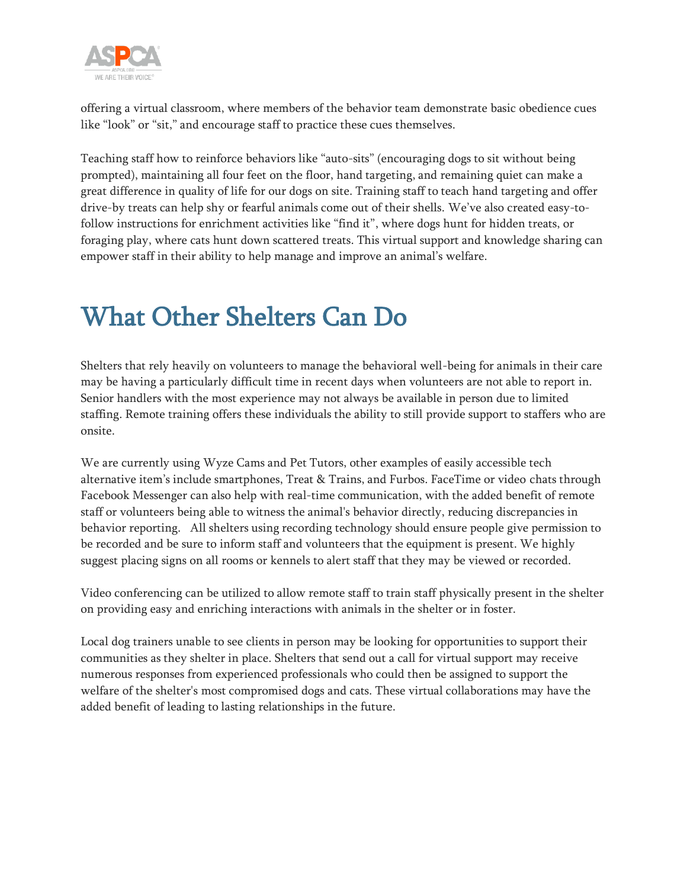

offering a virtual classroom, where members of the behavior team demonstrate basic obedience cues like "look" or "sit," and encourage staff to practice these cues themselves.

Teaching staff how to reinforce behaviors like "auto-sits" (encouraging dogs to sit without being prompted), maintaining all four feet on the floor, hand targeting, and remaining quiet can make a great difference in quality of life for our dogs on site. Training staff to teach hand targeting and offer drive-by treats can help shy or fearful animals come out of their shells. We've also created easy-tofollow instructions for enrichment activities like "find it", where dogs hunt for hidden treats, or foraging play, where cats hunt down scattered treats. This virtual support and knowledge sharing can empower staff in their ability to help manage and improve an animal's welfare.

## What Other Shelters Can Do

Shelters that rely heavily on volunteers to manage the behavioral well-being for animals in their care may be having a particularly difficult time in recent days when volunteers are not able to report in. Senior handlers with the most experience may not always be available in person due to limited staffing. Remote training offers these individuals the ability to still provide support to staffers who are onsite.

We are currently using Wyze Cams and Pet Tutors, other examples of easily accessible tech alternative item's include smartphones, Treat & Trains, and Furbos. FaceTime or video chats through Facebook Messenger can also help with real-time communication, with the added benefit of remote staff or volunteers being able to witness the animal's behavior directly, reducing discrepancies in behavior reporting. All shelters using recording technology should ensure people give permission to be recorded and be sure to inform staff and volunteers that the equipment is present. We highly suggest placing signs on all rooms or kennels to alert staff that they may be viewed or recorded.

Video conferencing can be utilized to allow remote staff to train staff physically present in the shelter on providing easy and enriching interactions with animals in the shelter or in foster.

Local dog trainers unable to see clients in person may be looking for opportunities to support their communities as they shelter in place. Shelters that send out a call for virtual support may receive numerous responses from experienced professionals who could then be assigned to support the welfare of the shelter's most compromised dogs and cats. These virtual collaborations may have the added benefit of leading to lasting relationships in the future.